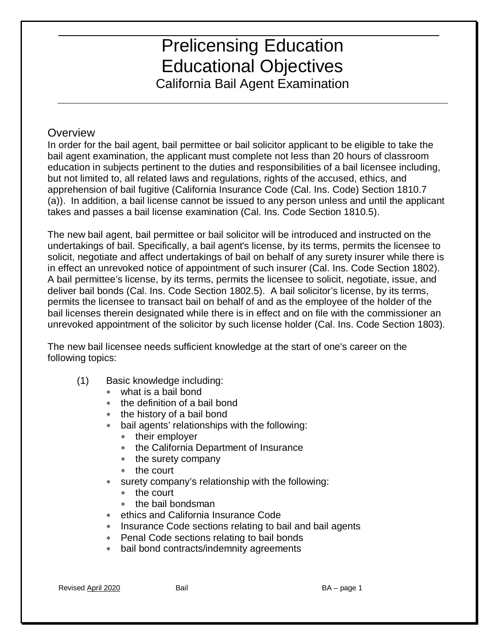California Bail Agent Examination

#### **Overview**

 In order for the bail agent, bail permittee or bail solicitor applicant to be eligible to take the bail agent examination, the applicant must complete not less than 20 hours of classroom but not limited to, all related laws and regulations, rights of the accused, ethics, and (a)). In addition, a bail license cannot be issued to any person unless and until the applicant education in subjects pertinent to the duties and responsibilities of a bail licensee including, apprehension of bail fugitive (California Insurance Code (Cal. Ins. Code) Section 1810.7 takes and passes a bail license examination (Cal. Ins. Code Section 1810.5).

in effect an unrevoked notice of appointment of such insurer (Cal. Ins. Code Section 1802). permits the licensee to transact bail on behalf of and as the employee of the holder of the The new bail agent, bail permittee or bail solicitor will be introduced and instructed on the undertakings of bail. Specifically, a bail agent's license, by its terms, permits the licensee to solicit, negotiate and affect undertakings of bail on behalf of any surety insurer while there is A bail permittee's license, by its terms, permits the licensee to solicit, negotiate, issue, and deliver bail bonds (Cal. Ins. Code Section 1802.5). A bail solicitor's license, by its terms, bail licenses therein designated while there is in effect and on file with the commissioner an unrevoked appointment of the solicitor by such license holder (Cal. Ins. Code Section 1803).

following topics: The new bail licensee needs sufficient knowledge at the start of one's career on the

- $f(1)$  Basic knowledge including:
	- ∗ what is a bail bond
	- the definition of a bail bond
	- ∗ the history of a bail bond
	- ∗ bail agents' relationships with the following:
		- ∗ their employer
		- ∗ the California Department of Insurance
		- ∗ the surety company
		- ∗ the court
	- ∗ surety company's relationship with the following:
		- ∗ the court
		- ∗ the bail bondsman
	- ∗ ethics and California Insurance Code
	- ∗ Insurance Code sections relating to bail and bail agents
	- ∗ Penal Code sections relating to bail bonds
- ∗ bail bond contracts/indemnity agreements<br>Revised <u>April 2020</u> Bail BA page 1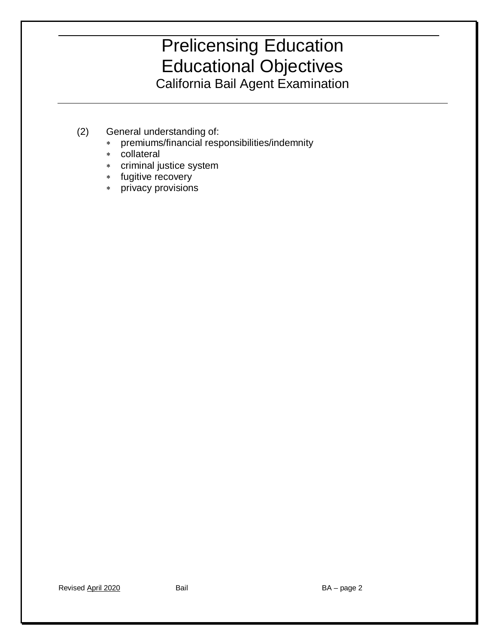- (2) General understanding of:
	- ∗ premiums/financial responsibilities/indemnity
	- ∗ collateral
	- ∗ criminal justice system
	- ∗ fugitive recovery
	- ∗ privacy provisions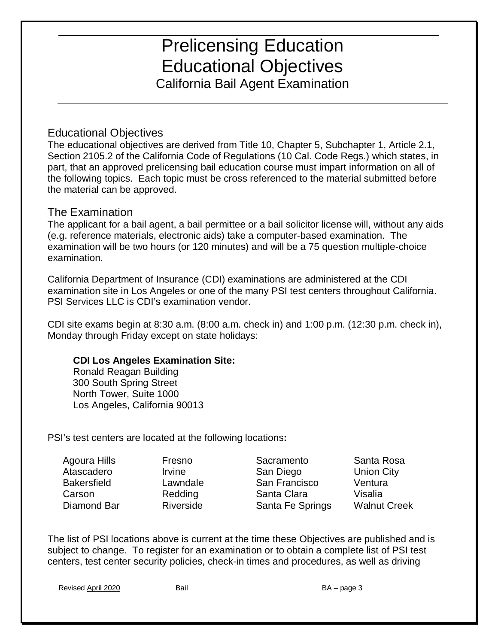California Bail Agent Examination

#### Educational Objectives

The educational objectives are derived from Title 10, Chapter 5, Subchapter 1, Article 2.1, Section 2105.2 of the California Code of Regulations (10 Cal. Code Regs.) which states, in part, that an approved prelicensing bail education course must impart information on all of the following topics. Each topic must be cross referenced to the material submitted before the material can be approved.

#### The Examination

 The applicant for a bail agent, a bail permittee or a bail solicitor license will, without any aids (e.g. reference materials, electronic aids) take a computer-based examination. The examination will be two hours (or 120 minutes) and will be a 75 question multiple-choice examination.

California Department of Insurance (CDI) examinations are administered at the CDI examination site in Los Angeles or one of the many PSI test centers throughout California. PSI Services LLC is CDI's examination vendor.

CDI site exams begin at 8:30 a.m. (8:00 a.m. check in) and 1:00 p.m. (12:30 p.m. check in), Monday through Friday except on state holidays:

#### **CDI Los Angeles Examination Site:**

Ronald Reagan Building 300 South Spring Street North Tower, Suite 1000 Los Angeles, California 90013

PSI's test centers are located at the following locations**:** 

| Agoura Hills       |
|--------------------|
| Atascadero         |
| <b>Bakersfield</b> |
| Carson             |
| Diamond Bar        |
|                    |

Fresno Sacramento Santa Rosa **Irvine San Diego Union City** Lawndale San Francisco Ventura Redding Santa Clara Visalia Riverside Santa Fe Springs Walnut Creek

 subject to change. To register for an examination or to obtain a complete list of PSI test The list of PSI locations above is current at the time these Objectives are published and is centers, test center security policies, check-in times and procedures, as well as driving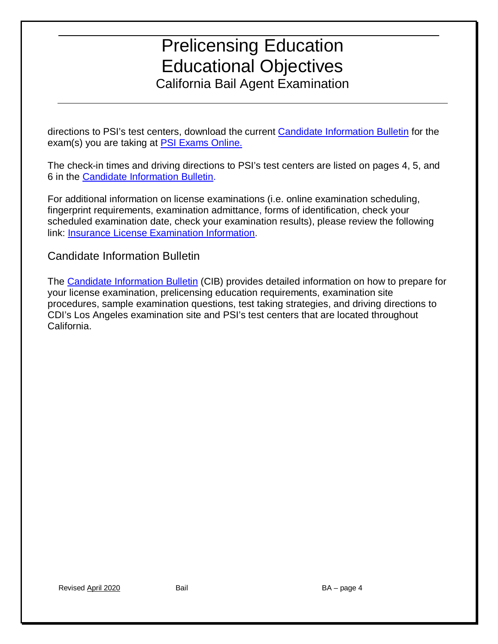directions to PSI's test centers, download the current <u>Candidate Information Bulletin</u> for the exam(s) you are taking at [PSI Exams Online.](https://candidate.psiexams.com/)

The check-in times and driving directions to PSI's test centers are listed on pages 4, 5, and 6 in the [Candidate Information Bulletin.](http://www.insurance.ca.gov/0200-industry/0020-apply-license/0100-indiv-resident/CandidateInformation.cfm)

For additional information on license examinations (i.e. online examination scheduling, fingerprint requirements, examination admittance, forms of identification, check your scheduled examination date, check your examination results), please review the following link: [Insurance License Examination Information.](http://www.insurance.ca.gov/0200-industry/0010-producer-online-services/0200-exam-info/index.cfm)

#### Candidate Information Bulletin

California. The [Candidate Information Bulletin](http://www.insurance.ca.gov/0200-industry/0020-apply-license/0100-indiv-resident/CandidateInformation.cfm) (CIB) provides detailed information on how to prepare for your license examination, prelicensing education requirements, examination site procedures, sample examination questions, test taking strategies, and driving directions to CDI's Los Angeles examination site and PSI's test centers that are located throughout California. Revised April 2020 Bail BA – page 4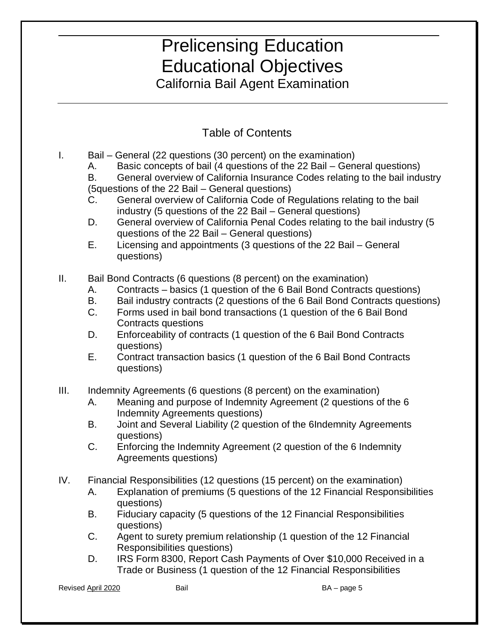California Bail Agent Examination

### Table of Contents

- I. Bail General (22 questions (30 percent) on the examination)
	- A. Basic concepts of bail (4 questions of the 22 Bail General questions)

(5questions of the 22 Bail - General questions) B. General overview of California Insurance Codes relating to the bail industry

- industry (5 questions of the 22 Bail General questions) C. General overview of California Code of Regulations relating to the bail
- D. General overview of California Penal Codes relating to the bail industry (5 questions of the 22 Bail – General questions)
- E. Licensing and appointments (3 questions of the 22 Bail General **guestions**)
- questions)<br>II. Bail Bond Contracts (6 questions (8 percent) on the examination)
	- A. Contracts basics (1 question of the 6 Bail Bond Contracts questions)
	- B. Bail industry contracts (2 questions of the 6 Bail Bond Contracts questions)
	- C. Forms used in bail bond transactions (1 question of the 6 Bail Bond Contracts questions
	- D. Enforceability of contracts (1 question of the 6 Bail Bond Contracts questions)
	- questions) E. Contract transaction basics (1 question of the 6 Bail Bond Contracts **guestions**)
- questions)<br>III. Indemnity Agreements (6 questions (8 percent) on the examination)
	- A. Meaning and purpose of Indemnity Agreement (2 questions of the 6 Indemnity Agreements questions)
	- B. Joint and Several Liability (2 question of the 6Indemnity Agreements questions)
	- C. Enforcing the Indemnity Agreement (2 question of the 6 Indemnity Agreements questions)
- IV. Financial Responsibilities (12 questions (15 percent) on the examination)
	- A. Explanation of premiums (5 questions of the 12 Financial Responsibilities questions)
	- B. Fiduciary capacity (5 questions of the 12 Financial Responsibilities questions)
	- C. Agent to surety premium relationship (1 question of the 12 Financial Responsibilities questions)
	- Trade or Business (1 question of the 12 Financial Responsibilities D. IRS Form 8300, Report Cash Payments of Over \$10,000 Received in a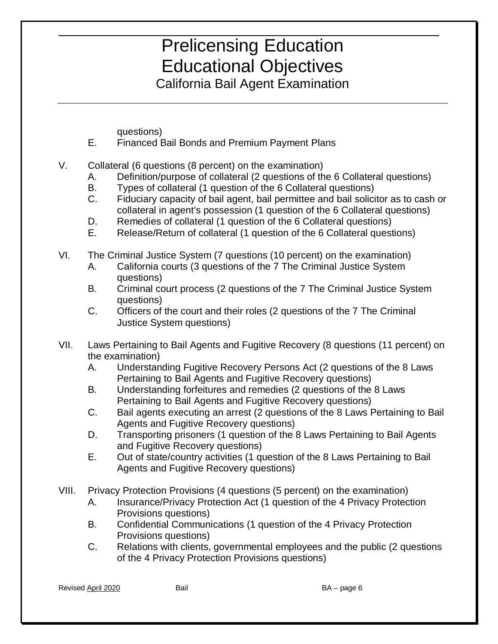California Bail Agent Examination

questions)

- E. Financed Bail Bonds and Premium Payment Plans
- V. Collateral (6 questions (8 percent) on the examination)
	- A. Definition/purpose of collateral (2 questions of the 6 Collateral questions)
	- B. Types of collateral (1 question of the 6 Collateral questions)
	- C. Fiduciary capacity of bail agent, bail permittee and bail solicitor as to cash or collateral in agent's possession (1 question of the 6 Collateral questions)
	- D. Remedies of collateral (1 question of the 6 Collateral questions)
	- E. Release/Return of collateral (1 question of the 6 Collateral questions)
- VI. The Criminal Justice System (7 questions (10 percent) on the examination)
	- A. California courts (3 questions of the 7 The Criminal Justice System questions)
	- B. Criminal court process (2 questions of the 7 The Criminal Justice System questions)
	- C. Officers of the court and their roles (2 questions of the 7 The Criminal Justice System questions)
- VII. Laws Pertaining to Bail Agents and Fugitive Recovery (8 questions (11 percent) on the examination)
	- **Pertaining to Bail Agents and Fugitive Recovery questions)** A. Understanding Fugitive Recovery Persons Act (2 questions of the 8 Laws
	- Pertaining to Bail Agents and Fugitive Recovery questions) B. Understanding forfeitures and remedies (2 questions of the 8 Laws
	- Pertaining to Bail Agents and Fugitive Recovery questions) C. Bail agents executing an arrest (2 questions of the 8 Laws Pertaining to Bail **Agents and Fugitive Recovery questions)**
	- and Fugitive Recovery questions) D. Transporting prisoners (1 question of the 8 Laws Pertaining to Bail Agents
	- E. Out of state/country activities (1 question of the 8 Laws Pertaining to Bail Agents and Fugitive Recovery questions)
- VIII. Privacy Protection Provisions (4 questions (5 percent) on the examination)
	- A. Insurance/Privacy Protection Act (1 question of the 4 Privacy Protection Provisions questions)
	- B. Confidential Communications (1 question of the 4 Privacy Protection Provisions questions)
	- C. Relations with clients, governmental employees and the public (2 questions of the 4 Privacy Protection Provisions questions)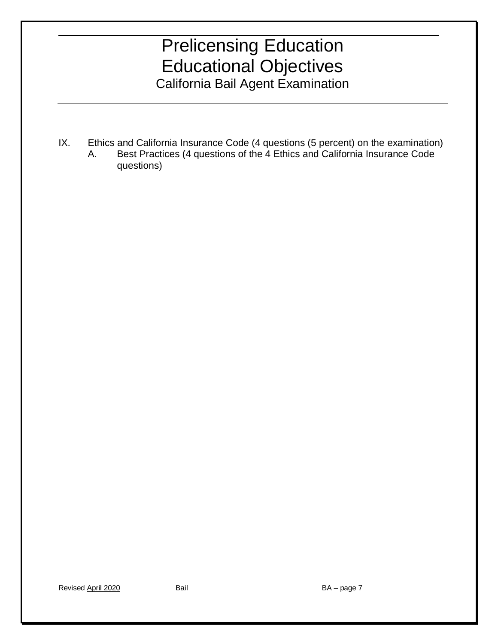IX. Ethics and California Insurance Code (4 questions (5 percent) on the examination) A. Best Practices (4 questions of the 4 Ethics and California Insurance Code questions)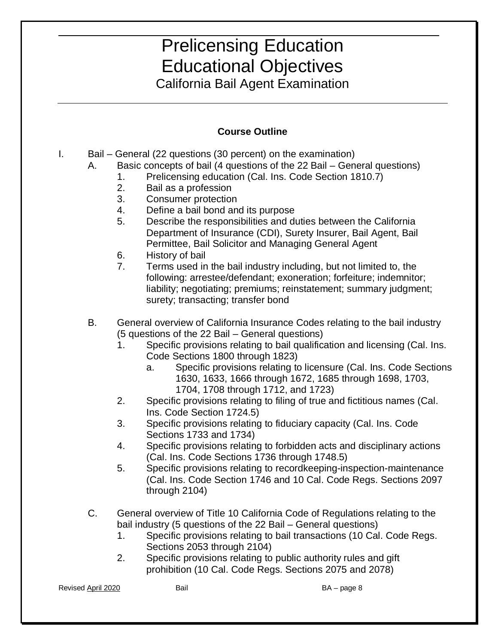California Bail Agent Examination

#### **Course Outline**

- I. Bail General (22 questions (30 percent) on the examination)
	- A. Basic concepts of bail (4 questions of the 22 Bail General questions)
		- 1. Prelicensing education (Cal. Ins. Code Section 1810.7)<br>2. Bail as a profession<br>3. Consumer protection
		- Bail as a profession
		-
		- 4. Define a bail bond and its purpose
		- 5. Describe the responsibilities and duties between the California Department of Insurance (CDI), Surety Insurer, Bail Agent, Bail Permittee, Bail Solicitor and Managing General Agent
		- 6. History of bail
		- 7. Terms used in the bail industry including, but not limited to, the following: arrestee/defendant; exoneration; forfeiture; indemnitor; liability; negotiating; premiums; reinstatement; summary judgment; surety; transacting; transfer bond
	- B. General overview of California Insurance Codes relating to the bail industry (5 questions of the 22 Bail – General questions)
		- Code Sections 1800 through 1823) 1. Specific provisions relating to bail qualification and licensing (Cal. Ins.
			- 1630, 1633, 1666 through 1672, 1685 through 1698, 1703, a. Specific provisions relating to licensure (Cal. Ins. Code Sections 1704, 1708 through 1712, and 1723)
		- Ins. Code Section 1724.5) 2. Specific provisions relating to filing of true and fictitious names (Cal.
		- 3. Sections 1733 and 1734) Specific provisions relating to fiduciary capacity (Cal. Ins. Code
		- (Cal. Ins. Code Sections 1736 through 1748.5) 4. Specific provisions relating to forbidden acts and disciplinary actions
		- **through 2104)** 5. Specific provisions relating to recordkeeping-inspection-maintenance (Cal. Ins. Code Section 1746 and 10 Cal. Code Regs. Sections 2097
	- bail industry (5 questions of the 22 Bail General questions) C. General overview of Title 10 California Code of Regulations relating to the
		- Sections 2053 through 2104) 1. Specific provisions relating to bail transactions (10 Cal. Code Regs.
		- Sections 2053 through 2104) 2. Specific provisions relating to public authority rules and gift prohibition (10 Cal. Code Regs. Sections 2075 and 2078)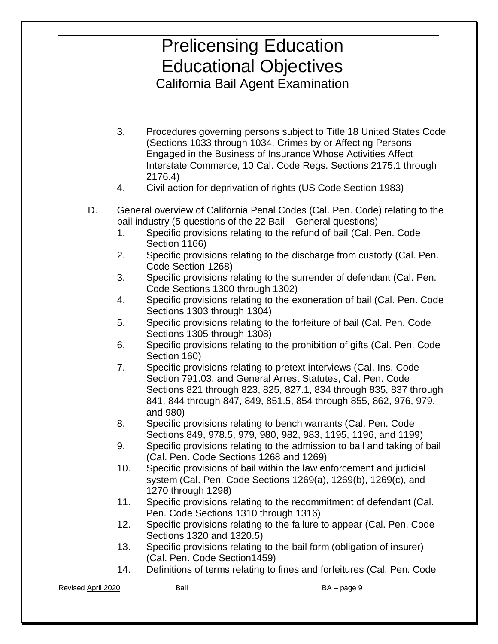California Bail Agent Examination

- (Sections 1033 through 1034, Crimes by or Affecting Persons Interstate Commerce, 10 Cal. Code Regs. Sections 2175.1 through 3. Procedures governing persons subject to Title 18 United States Code Engaged in the Business of Insurance Whose Activities Affect 2176.4)
- Civil action for deprivation of rights (US Code Section 1983)
- bail industry (5 questions of the 22 Bail General questions) 4. Civil action for deprivation of rights (US Code Section 1983) D. General overview of California Penal Codes (Cal. Pen. Code) relating to the
	- Section 1166) 1. Specific provisions relating to the refund of bail (Cal. Pen. Code
	- Code Section 1268) 2. Specific provisions relating to the discharge from custody (Cal. Pen.
	- Code Sections 1300 through 1302) 3. Specific provisions relating to the surrender of defendant (Cal. Pen.
	- Sections 1303 through 1304) 4. Specific provisions relating to the exoneration of bail (Cal. Pen. Code
	- Sections 1305 through 1308) 5. Specific provisions relating to the forfeiture of bail (Cal. Pen. Code
	- 6. Specific provisions relating to the prohibition of gifts (Cal. Pen. Code Section 160)
	- 7. Specific provisions relating to pretext interviews (Cal. Ins. Code Section 791.03, and General Arrest Statutes, Cal. Pen. Code and 980) Sections 821 through 823, 825, 827.1, 834 through 835, 837 through 841, 844 through 847, 849, 851.5, 854 through 855, 862, 976, 979,
	- Sections 849, 978.5, 979, 980, 982, 983, 1195, 1196, and 1199) 8. Specific provisions relating to bench warrants (Cal. Pen. Code
	- (Cal. Pen. Code Sections 1268 and 1269) 9. Specific provisions relating to the admission to bail and taking of bail
	- 10. Specific provisions of bail within the law enforcement and judicial system (Cal. Pen. Code Sections 1269(a), 1269(b), 1269(c), and 1270 through 1298)
	- Pen. Code Sections 1310 through 1316) 11. Specific provisions relating to the recommitment of defendant (Cal.
	- Sections 1320 and 1320.5) 12. Specific provisions relating to the failure to appear (Cal. Pen. Code
	- 13. Specific provisions relating to the bail form (obligation of insurer) (Cal. Pen. Code Section 1459)
	- 14. Definitions of terms relating to fines and forfeitures (Cal. Pen. Code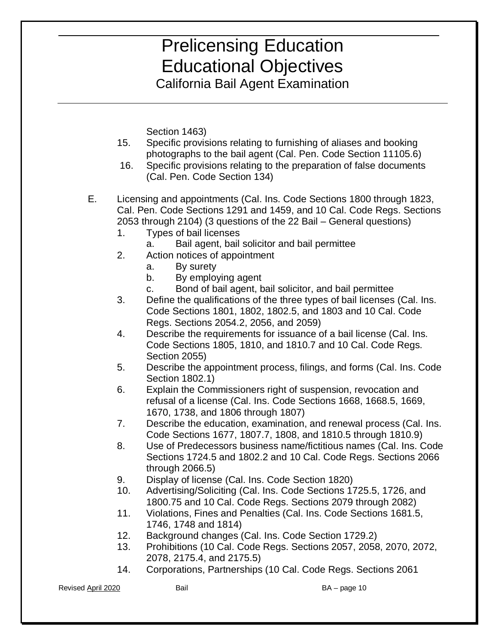California Bail Agent Examination

Section 1463)

- 15. Specific provisions relating to furnishing of aliases and booking photographs to the bail agent (Cal. Pen. Code Section 11105.6)
- $16.$ Specific provisions relating to the preparation of false documents (Cal. Pen. Code Section 134)
- 2053 through 2104) (3 questions of the 22 Bail General questions) E. Licensing and appointments (Cal. Ins. Code Sections 1800 through 1823, Cal. Pen. Code Sections 1291 and 1459, and 10 Cal. Code Regs. Sections
	- Types of bail licenses
	- 1. Types of bail licenses<br>a. Bail agent, bail solicitor and bail permittee
	- Action notices of appointment
		- By surety
		- By employing agent
	- 2. Action notices of appointment<br>
	a. By surety<br>
	b. By employing agent<br>
	c. Bond of bail agent, bail solicitor, and bail permittee
	- 3. Code Sections 1801, 1802, 1802.5, and 1803 and 10 Cal. Code Regs. Sections 2054.2, 2056, and 2059) Define the qualifications of the three types of bail licenses (Cal. Ins.
	- Section 2055) 4. Describe the requirements for issuance of a bail license (Cal. Ins. Code Sections 1805, 1810, and 1810.7 and 10 Cal. Code Regs.
	- Section 1802.1) 5. Describe the appointment process, filings, and forms (Cal. Ins. Code
	- 1670, 1738, and 1806 through 1807) 6. Explain the Commissioners right of suspension, revocation and refusal of a license (Cal. Ins. Code Sections 1668, 1668.5, 1669,
	- Code Sections 1677, 1807.7, 1808, and 1810.5 through 1810.9) 7. Describe the education, examination, and renewal process (Cal. Ins.
	- 8. Sections 1724.5 and 1802.2 and 10 Cal. Code Regs. Sections 2066 Use of Predecessors business name/fictitious names (Cal. Ins. Code through 2066.5)
	- Display of license (Cal. Ins. Code Section 1820)
	- 1800.75 and 10 Cal. Code Regs. Sections 2079 through 2082) 9. Display of license (Cal. Ins. Code Section 1820)<br>10. Advertising/Soliciting (Cal. Ins. Code Sections 1725.5, 1726, and
	- 1800.75 and 10 Cal. Code Regs. Sections 2079 through 2082) 11. Violations, Fines and Penalties (Cal. Ins. Code Sections 1681.5, 1746, 1748 and 1814)
	- 12. Background changes (Cal. Ins. Code Section 1729.2)
	- 2078, 2175.4, and 2175.5) 13. Prohibitions (10 Cal. Code Regs. Sections 2057, 2058, 2070, 2072,
	- 2078, 2175.4, and 2175.5) 14. Corporations, Partnerships (10 Cal. Code Regs. Sections 2061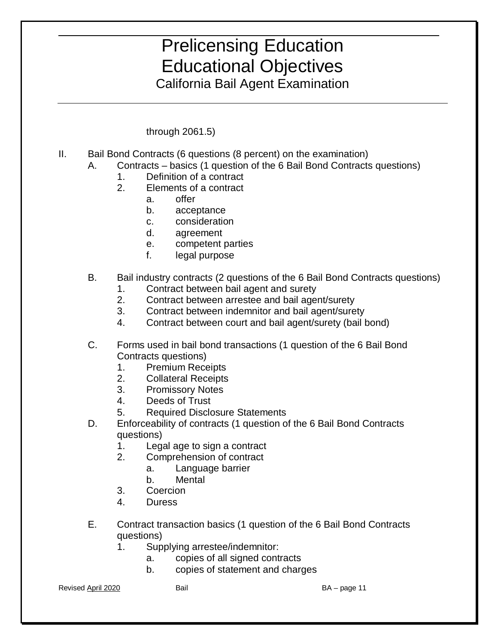California Bail Agent Examination

through 2061.5)

- through 2061.5)<br>II. Bail Bond Contracts (6 questions (8 percent) on the examination)
	- A. Contracts basics (1 question of the 6 Bail Bond Contracts questions) 1. Definition of a contract
		- Definition of a contract
		- 2. Elements of a contract
			- $a<sub>z</sub>$ a. offer
			- b. acceptance
			- c. consideration
			- d. agreement
			- e. competent parties
			- f. legal purpose
	- B. Bail industry contract*s* (2 questions of the 6 Bail Bond Contracts questions)
		- Contract between bail agent and surety
		- $2.$ 1. Contract between bail agent and surety 2. Contract between arrestee and bail agent/surety
		- $3_{-}$ 3. Contract between indemnitor and bail agent/surety
		- $\overline{4}$ 4. Contract between court and bail agent/surety (bail bond)
	- C. Forms used in bail bond transactions (1 question of the 6 Bail Bond Contracts questions)
		- 1. Premium Receipts
		- 2. Collateral Receipts
		- 3. Promissory Notes
		- 4. Deeds of Trust
		- 5. Required Disclosure Statements
	- D. Enforceability of contracts (1 question of the 6 Bail Bond Contracts questions)
		- 1. Legal age to sign a contract
		- $2.$ 2. Comprehension of contract
			- a. Language barrier<br>b. Mental
			-
		- 3. **Coercion**
		- $4<sub>1</sub>$ 4. Duress
	- E. Contract transaction basics (1 question of the 6 Bail Bond Contracts questions)
		- 1. Supplying arrestee/indemnitor:
			- copies of all signed contracts
			- a. copies of all signed contracts b. copies of statement and charges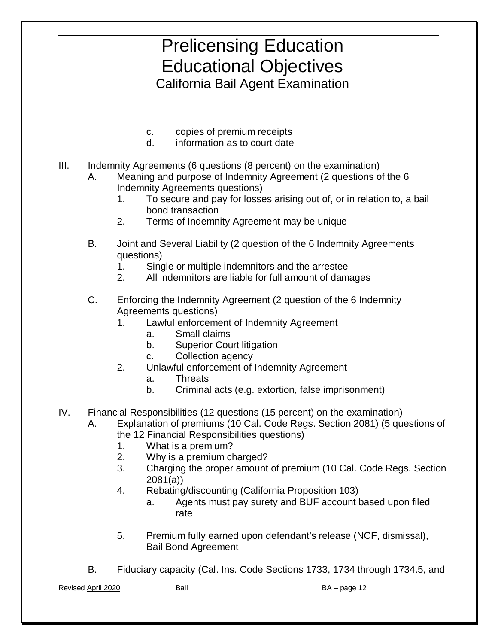California Bail Agent Examination

- c. copies of premium receipts
- d. information as to court date
- III. Indemnity Agreements (6 questions (8 percent) on the examination)
	- A. Meaning and purpose of Indemnity Agreement (2 questions of the 6 Indemnity Agreements questions)
		- 1. To secure and pay for losses arising out of, or in relation to, a bail bond transaction
		- 2. Terms of Indemnity Agreement may be unique
	- B. Joint and Several Liability (2 question of the 6 Indemnity Agreements questions)
		- 1. Single or multiple indemnitors and the arrestee
		- All indemnitors are liable for full amount of damages
	- 2. All indemnitors are liable for full amount of damages C. Enforcing the Indemnity Agreement (2 question of the 6 Indemnity Agreements questions)
		- 1. Lawful enforcement of Indemnity Agreement a. Small claims
			- Small claims
			- **Superior Court litigation**
			- Collection agency
		- Unlawful enforcement of Indemnity Agreement b. Superior Court litigation<br>
		c. Collection agency<br>
		2. Unlawful enforcement of Indemnity Agreement<br>
		a. Threats<br>
		b. Criminal acts (e.g. extortion, false imprisonment)
			- **Threats**
			-
- IV. Financial Responsibilities (12 questions (15 percent) on the examination)
	- А. Explanation of premiums (10 Cal. Code Regs. Section 2081) (5 questions of the 12 Financial Responsibilities questions)
		- 1. What is a premium?
		- 2. Why is a premium charged?
		- 3. Charging the proper amount of premium (10 Cal. Code Regs. Section 2081(a))
		- 4. Rebating/discounting (California Proposition 103)
			- a. Agents must pay surety and BUF account based upon filed rate
		- **Bail Bond Agreement** 5. Premium fully earned upon defendant's release (NCF, dismissal),
	- B. Fiduciary capacity (Cal. Ins. Code Sections 1733, 1734 through 1734.5, and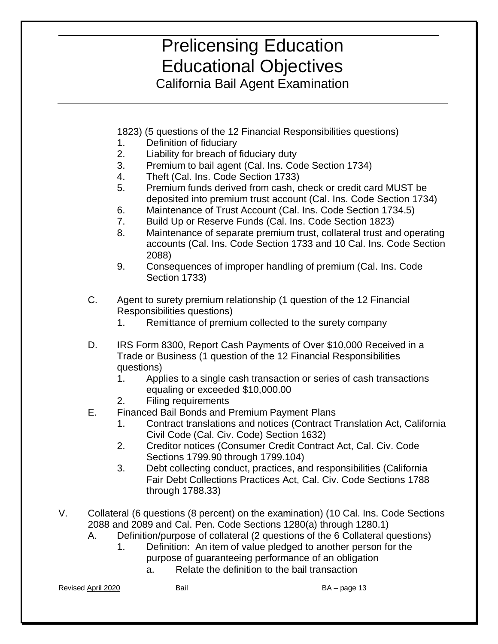California Bail Agent Examination

1823) (5 questions of the 12 Financial Responsibilities questions)

- Definition of fiduciary
- Liability for breach of fiduciary duty
- 1. Definition of fiduciary<br>2. Liability for breach of fiduciary duty<br>3. Premium to bail agent (Cal. Ins. Code Section 1734)
- 4. Theft (Cal. Ins. Code Section 1733)
- 5. Premium funds derived from cash, check or credit card MUST be deposited into premium trust account (Cal. Ins. Code Section 1734)
- 6. Maintenance of Trust Account (Cal. Ins. Code Section 1734.5)
- 7. Build Up or Reserve Funds (Cal. Ins. Code Section 1823)
- 8. Maintenance of separate premium trust, collateral trust and operating accounts (Cal. Ins. Code Section 1733 and 10 Cal. Ins. Code Section 2088)
- 9. Consequences of improper handling of premium (Cal. Ins. Code Section 1733)
- C. Agent to surety premium relationship (1 question of the 12 Financial Responsibilities questions)
	- 1. Remittance of premium collected to the surety company
- Trade or Business (1 question of the 12 Financial Responsibilities D. IRS Form 8300, Report Cash Payments of Over \$10,000 Received in a questions)
	- 1. Applies to a single cash transaction or series of cash transactions equaling or exceeded \$10,000.00
	- 2. Filing requirements
- E. Financed Bail Bonds and Premium Payment Plans
	- 1. Contract translations and notices (Contract Translation Act, California Civil Code (Cal. Civ. Code) Section 1632)
	- 2. Creditor notices (Consumer Credit Contract Act, Cal. Civ. Code Sections 1799.90 through 1799.104)
	- 3. Debt collecting conduct, practices, and responsibilities (California Fair Debt Collections Practices Act, Cal. Civ. Code Sections 1788 through 1788.33)
- V. Collateral (6 questions (8 percent) on the examination) (10 Cal. Ins. Code Sections 2088 and 2089 and Cal. Pen. Code Sections 1280(a) through 1280.1)
	- A. Definition/purpose of collateral (2 questions of the 6 Collateral questions) 1. Definition: An item of value pledged to another person for the
		- purpose of guaranteeing performance of an obligation
- a. Relate the definition to the bail transaction<br>BA page 13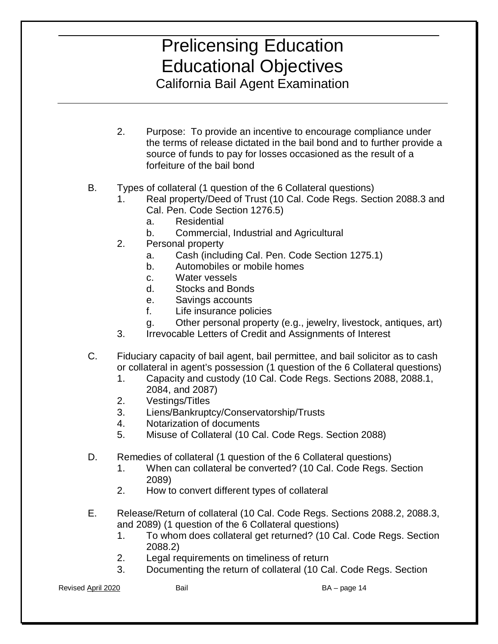California Bail Agent Examination

- 2. Purpose: To provide an incentive to encourage compliance under source of funds to pay for losses occasioned as the result of a forfeiture of the bail bond the terms of release dictated in the bail bond and to further provide a
- B. Types of collateral (1 question of the 6 Collateral questions)
	- 1. Real property/Deed of Trust (10 Cal. Code Regs. Section 2088.3 and Cal. Pen. Code Section 1276.5)
		- a. Residential
		- b. Commercial, Industrial and Agricultural
	- **Personal property**
	- 2. Personal property a. Cash (including Cal. Pen. Code Section 1275.1)
		- b. Automobiles or mobile homes<br>c. Water vessels<br>d. Stocks and Bonds
		- Water vessels
		-
		- e. Savings accounts
		- f. Life insurance policies
		- g. Other personal property (e.g., jewelry, livestock, antiques, art)
	- 3. Irrevocable Letters of Credit and Assignments of Interest
- C. Fiduciary capacity of bail agent, bail permittee, and bail solicitor as to cash or collateral in agent's possession (1 question of the 6 Collateral questions)
	- 2084, and 2087) 1. Capacity and custody (10 Cal. Code Regs. Sections 2088, 2088.1,
	- 2. Vestings/Titles
	- 3. Liens/Bankruptcy/Conservatorship/Trusts
	- 4. Notarization of documents
	- 5. Misuse of Collateral (10 Cal. Code Regs. Section 2088)
- D. Remedies of collateral (1 question of the 6 Collateral questions)
	- 1. When can collateral be converted? (10 Cal. Code Regs. Section 2089)
	- How to convert different types of collateral
- 2. How to convert different types of collateral E. Release/Return of collateral (10 Cal. Code Regs. Sections 2088.2, 2088.3, and 2089) (1 question of the 6 Collateral questions)
	- 1. To whom does collateral get returned? (10 Cal. Code Regs. Section
	- Legal requirements on timeliness of return
	- 2. Legal requirements on timeliness of return<br>3. Documenting the return of collateral (10 Cal. Code Regs. Section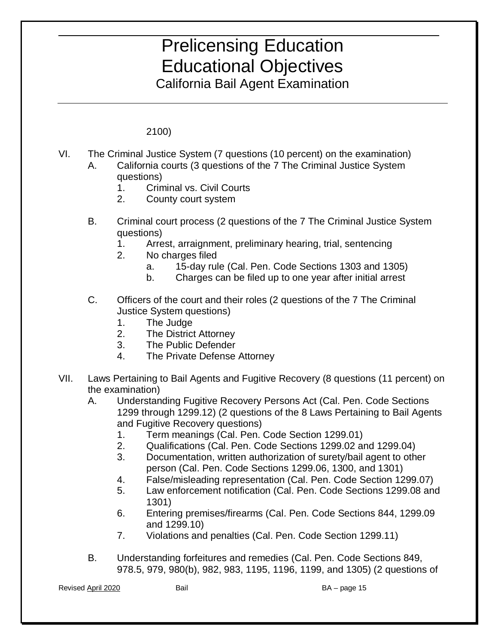California Bail Agent Examination

2100)

- VI. The Criminal Justice System (7 questions (10 percent) on the examination)  $A_{-}$ California courts (3 questions of the 7 The Criminal Justice System questions)
	-
	- 1. Criminal vs. Civil Courts<br>2. County court system
	- B. B. Criminal court process (2 questions of the 7 The Criminal Justice System questions)
		- 1. Arrest, arraignment, preliminary hearing, trial, sentencing 2. No charges filed
		- - 15-day rule (Cal. Pen. Code Sections 1303 and 1305)
		- Charges can be filed up to one year after initial arrest a. 15-day rule (Cal. Pen. Code Sections 1303 and 1305)<br>b. Charges can be filed up to one year after initial arrest<br>Officers of the court and their roles (2 questions of the 7 The Criminal
	- $C_{1}$ Justice System questions)
		- 1. The Judge
		- 2. The District Attorney
		- 3. The Public Defender<br>4. The Private Defense
		- The Private Defense Attorney
- VII. Laws Pertaining to Bail Agents and Fugitive Recovery (8 questions (11 percent) on the examination)
	- A. Understanding Fugitive Recovery Persons Act (Cal. Pen. Code Sections 1299 through 1299.12) (2 questions of the 8 Laws Pertaining to Bail Agents and Fugitive Recovery questions)
		- 1. Term meanings (Cal. Pen. Code Section 1299.01)
		- 2. Qualifications (Cal. Pen. Code Sections 1299.02 and 1299.04)
		- 3. Documentation, written authorization of surety/bail agent to other person (Cal. Pen. Code Sections 1299.06, 1300, and 1301)
		- 4. False/misleading representation (Cal. Pen. Code Section 1299.07)
		- 5. Law enforcement notification (Cal. Pen. Code Sections 1299.08 and 1301)
		- 6. Entering premises/firearms (Cal. Pen. Code Sections 844, 1299.09 and 1299.10)
		- 7. Violations and penalties (Cal. Pen. Code Section 1299.11)
	- B. Understanding forfeitures and remedies (Cal. Pen. Code Sections 849, 978.5, 979, 980(b), 982, 983, 1195, 1196, 1199, and 1305) (2 questions of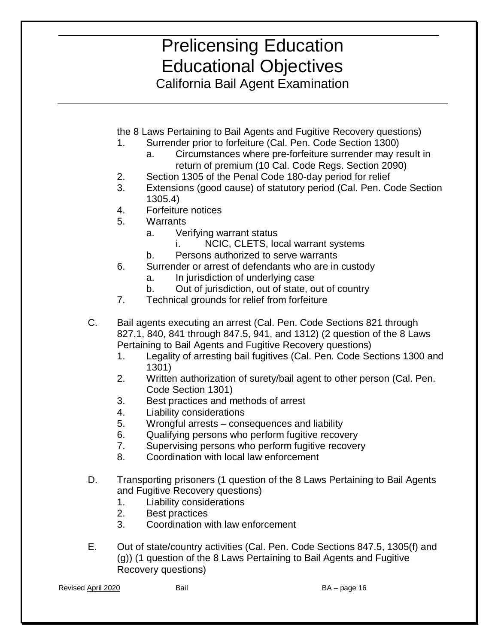California Bail Agent Examination

the 8 Laws Pertaining to Bail Agents and Fugitive Recovery questions)

- 1. Surrender prior to forfeiture (Cal. Pen. Code Section 1300)
	- a. Circumstances where pre-forfeiture surrender may result in return of premium (10 Cal. Code Regs. Section 2090)
- 2. Section 1305 of the Penal Code 180-day period for relief
- $1305.4$ 3. Extensions (good cause) of statutory period (Cal. Pen. Code Section
- 4. Forfeiture notices
- 5. Warrants
	- a. Verifying warrant status
		- i. NCIC, CLETS, local warrant systems
	- b. Persons authorized to serve warrants
- 6. Surrender or arrest of defendants who are in custody a. In jurisdiction of underlying case
	-
	-
- b. Out of jurisdiction, out of state, out of country 7. Technical grounds for relief from forfeiture
- C. Bail agents executing an arrest (Cal. Pen. Code Sections 821 through 827.1, 840, 841 through 847.5, 941, and 1312) (2 question of the 8 Laws Pertaining to Bail Agents and Fugitive Recovery questions)
	- 1. Legality of arresting bail fugitives (Cal. Pen. Code Sections 1300 and 1301)
	- 2. Written authorization of surety/bail agent to other person (Cal. Pen. Code Section 1301)
	- 3. Best practices and methods of arrest
	- 4. Liability considerations
	- 5. Wrongful arrests consequences and liability
	- 6. Qualifying persons who perform fugitive recovery
	- 7. Supervising persons who perform fugitive recovery
	- 8. Coordination with local law enforcement
- D. Transporting prisoners (1 question of the 8 Laws Pertaining to Bail Agents and Fugitive Recovery questions)
	- 1. Liability considerations
	- 2. Best practices
	- **Coordination with law enforcement**
- E. 3. Coordination with law enforcement<br>Out of state/country activities (Cal. Pen. Code Sections 847.5, 1305(f) and (g)) (1 question of the 8 Laws Pertaining to Bail Agents and Fugitive Recovery questions)

Revised April 2020 Bail BA – page 16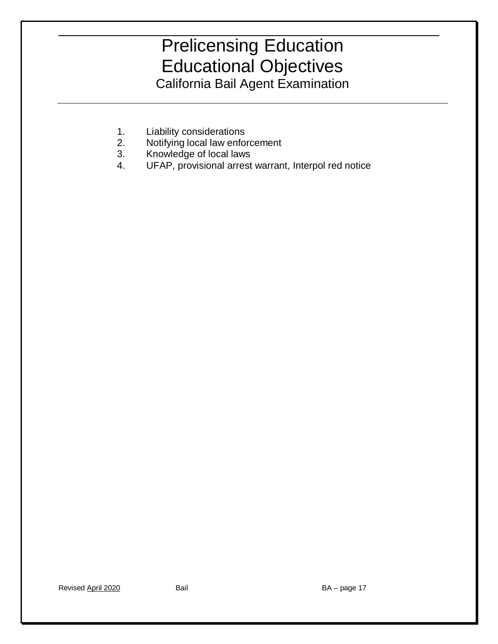- 1. Liability considerations
- 2. Notifying local law enforcement<br>3. Knowledge of local laws
- 
- UFAP, provisional arrest warrant, Interpol red notice 4. UFAP, provisional arrest warrant, Interpol red notice<br>
4. UFAP, provisional arrest warrant, Interpol red notice<br>
Revised <u>April 2020</u> Bail